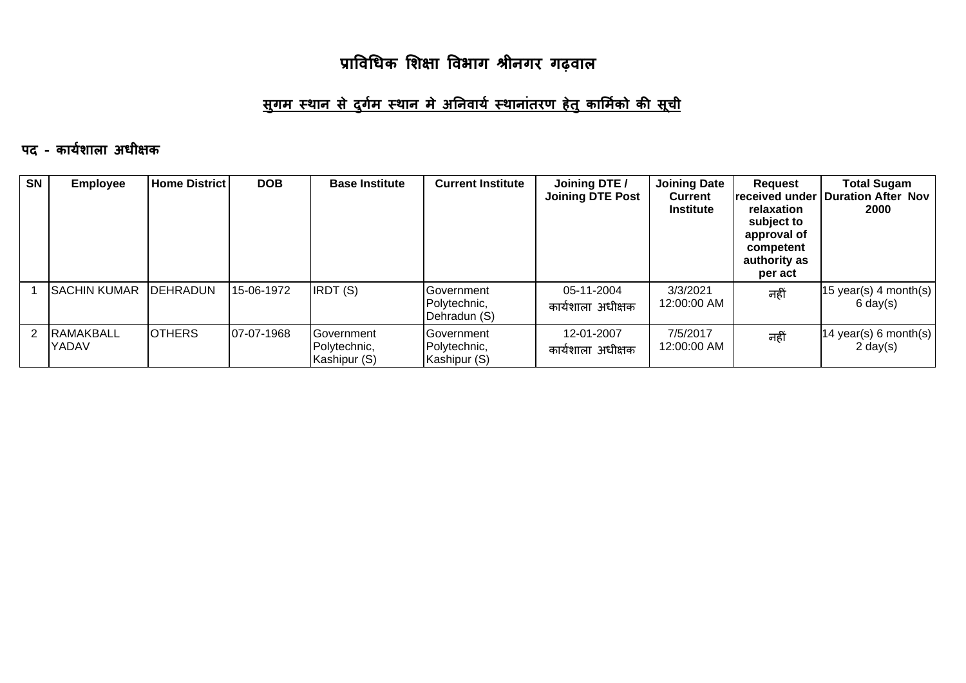#### <u>सुगम स्थान से दुर्गम स्थान मे अनिवार्य स्थानांतरण हेतु कार्मिको की सूची</u>

#### पद - कार्यशाला अधीक्षक

| <b>SN</b> | <b>Employee</b>             | <b>Home District</b> | <b>DOB</b>  | <b>Base Institute</b>                              | <b>Current Institute</b>                           | Joining DTE /<br><b>Joining DTE Post</b> | <b>Joining Date</b><br><b>Current</b><br><b>Institute</b> | <b>Request</b><br>lreceived under<br>relaxation<br>subject to<br>approval of<br>competent<br>authority as<br>per act | <b>Total Sugam</b><br><b>Duration After Nov</b><br>2000 |
|-----------|-----------------------------|----------------------|-------------|----------------------------------------------------|----------------------------------------------------|------------------------------------------|-----------------------------------------------------------|----------------------------------------------------------------------------------------------------------------------|---------------------------------------------------------|
|           | ISACHIN KUMAR               | <b>IDEHRADUN</b>     | 15-06-1972  | <b>IRDT</b> (S)                                    | <b>IGovernment</b><br>Polytechnic,<br>Dehradun (S) | 05-11-2004<br>कार्यशाला अधीक्षक          | 3/3/2021<br>12:00:00 AM                                   | नहीं                                                                                                                 | $15$ year(s) 4 month(s)<br>$6 \text{ day}(s)$           |
|           | 2 RAMAKBALL<br><b>YADAV</b> | <b>OTHERS</b>        | 107-07-1968 | <b>IGovernment</b><br>Polytechnic,<br>Kashipur (S) | <b>IGovernment</b><br>Polytechnic,<br>Kashipur (S) | 12-01-2007<br>कार्यशाला अधीक्षक          | 7/5/2017<br>12:00:00 AM                                   | नहीं                                                                                                                 | 14 year(s) 6 month(s)<br>$2 \text{ day}(s)$             |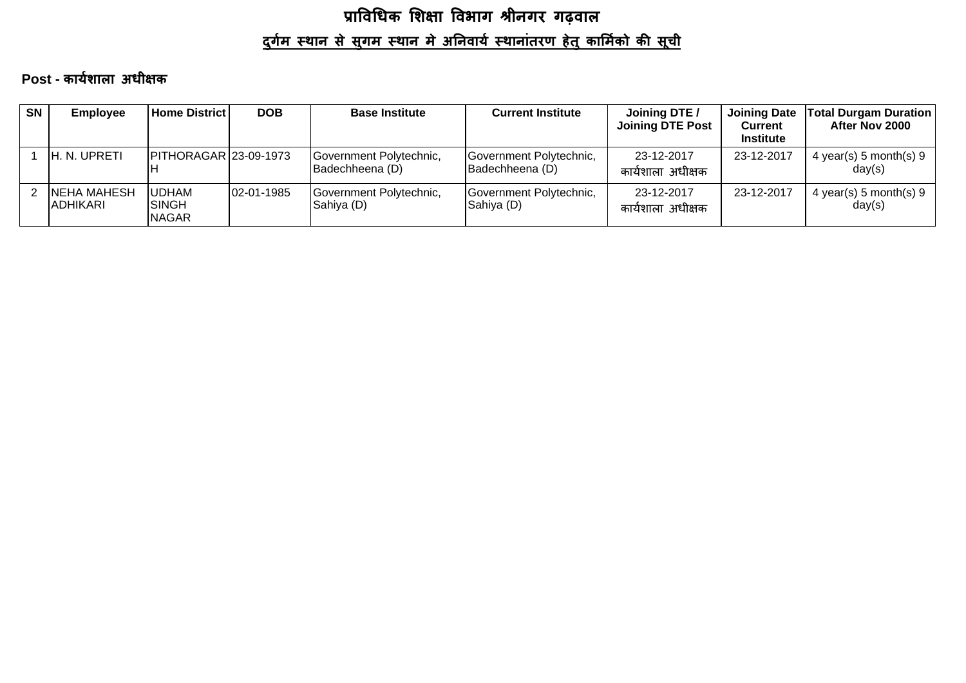# प्राविधिक शिक्षा विभाग श्रीनगर गढ़वाल <u>दुर्गम स्थान से सुगम स्थान मे अनिवार्य स्थानांतरण हेतु कार्मिको की सूची</u>

#### Post - कार्यशाला अधीक्षक

| <b>SN</b> | <b>Employee</b>          | <b>Home District</b>                           | <b>DOB</b> | <b>Base Institute</b>                      | <b>Current Institute</b>                   | Joining DTE /<br><b>Joining DTE Post</b> | <b>Joining Date</b><br>Current<br><b>Institute</b> | Total Durgam Duration  <br>After Nov 2000 |
|-----------|--------------------------|------------------------------------------------|------------|--------------------------------------------|--------------------------------------------|------------------------------------------|----------------------------------------------------|-------------------------------------------|
|           | <b>IH. N. UPRETI</b>     | <b>PITHORAGAR 23-09-1973</b>                   |            | Government Polytechnic,<br>Badechheena (D) | Government Polytechnic,<br>Badechheena (D) | 23-12-2017<br>कार्यशाला अधीक्षक          | 23-12-2017                                         | 4 year(s) 5 month(s) 9<br>day(s)          |
| 2         | NEHA MAHESH<br>IADHIKARI | <b>JUDHAM</b><br><b>ISINGH</b><br><b>NAGAR</b> | 02-01-1985 | Government Polytechnic,<br>Sahiya (D)      | Government Polytechnic,<br>Sahiya (D)      | 23-12-2017<br>कार्यशाला अधीक्षक          | 23-12-2017                                         | 4 year(s) 5 month(s) 9<br>day(s)          |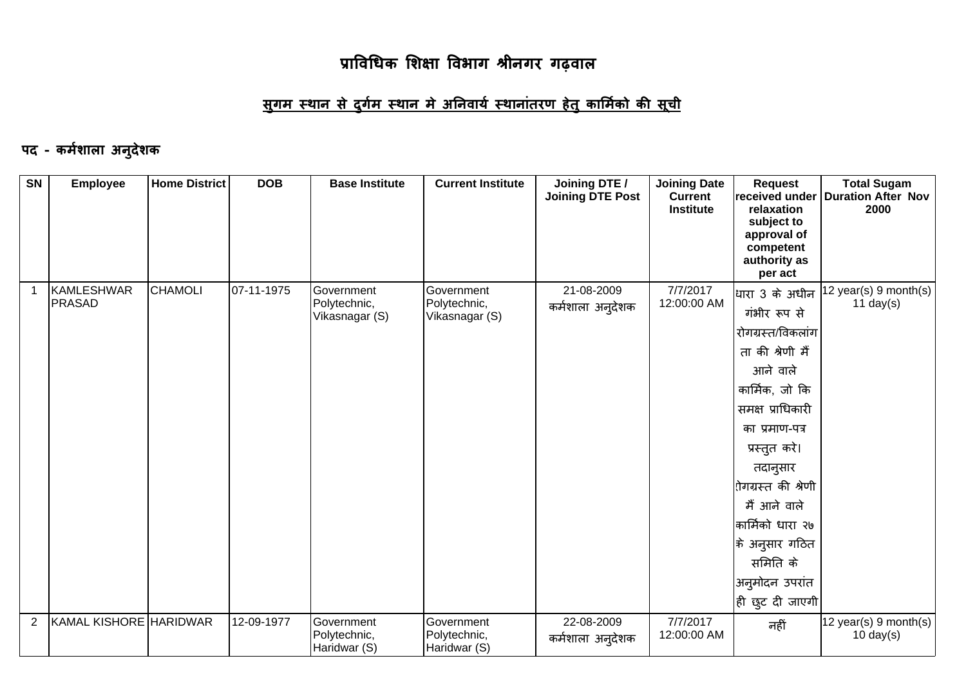#### <u>सुगम स्थान से दुर्गम स्थान मे अनिवार्य स्थानांतरण हेतु कार्मिको की सूची</u>

#### पद - कर्मशाला अनुदेशक

| SN             | <b>Employee</b>             | <b>Home District</b> | <b>DOB</b> | <b>Base Institute</b>                        | <b>Current Institute</b>                     | Joining DTE /<br><b>Joining DTE Post</b> | <b>Joining Date</b><br><b>Current</b><br><b>Institute</b> | <b>Request</b><br>relaxation<br>subject to<br>approval of<br>competent<br>authority as<br>per act                                                                                                                                                                                                         | <b>Total Sugam</b><br>received under   Duration After Nov<br>2000 |
|----------------|-----------------------------|----------------------|------------|----------------------------------------------|----------------------------------------------|------------------------------------------|-----------------------------------------------------------|-----------------------------------------------------------------------------------------------------------------------------------------------------------------------------------------------------------------------------------------------------------------------------------------------------------|-------------------------------------------------------------------|
| $\mathbf{1}$   | KAMLESHWAR<br><b>PRASAD</b> | <b>CHAMOLI</b>       | 07-11-1975 | Government<br>Polytechnic,<br>Vikasnagar (S) | Government<br>Polytechnic,<br>Vikasnagar (S) | 21-08-2009<br>कर्मशाला अनुदेशक           | 7/7/2017<br>12:00:00 AM                                   | धािरा 3 के अधीन<br>गंभीर रूप से<br>रोगग्रस्त/विकलांग<br>ता की श्रेणी मैं<br>आने वाले<br>कार्मिक, जो कि<br>समक्ष प्राधिकारी<br>का प्रमाण-पत्र<br>प्रस्तुत करे।<br>तदानुसार<br>रोगग्रस्त की श्रेणी<br>मैं आने वाले<br>कार्मिको धारा २७<br> के अनुसार गठित<br>समिति के<br>अनुमोदन उपरांत<br> ही छुट दी जाएगी | 12 year(s) 9 month(s)<br>11 day $(s)$                             |
| $\overline{2}$ | KAMAL KISHORE HARIDWAR      |                      | 12-09-1977 | Government<br>Polytechnic,<br>Haridwar (S)   | Government<br>Polytechnic,<br>Haridwar (S)   | 22-08-2009<br>कर्मशाला अन् <b>देशक</b>   | 7/7/2017<br>12:00:00 AM                                   | नहीं                                                                                                                                                                                                                                                                                                      | 12 year(s) 9 month(s)<br>$10 \text{ day}(s)$                      |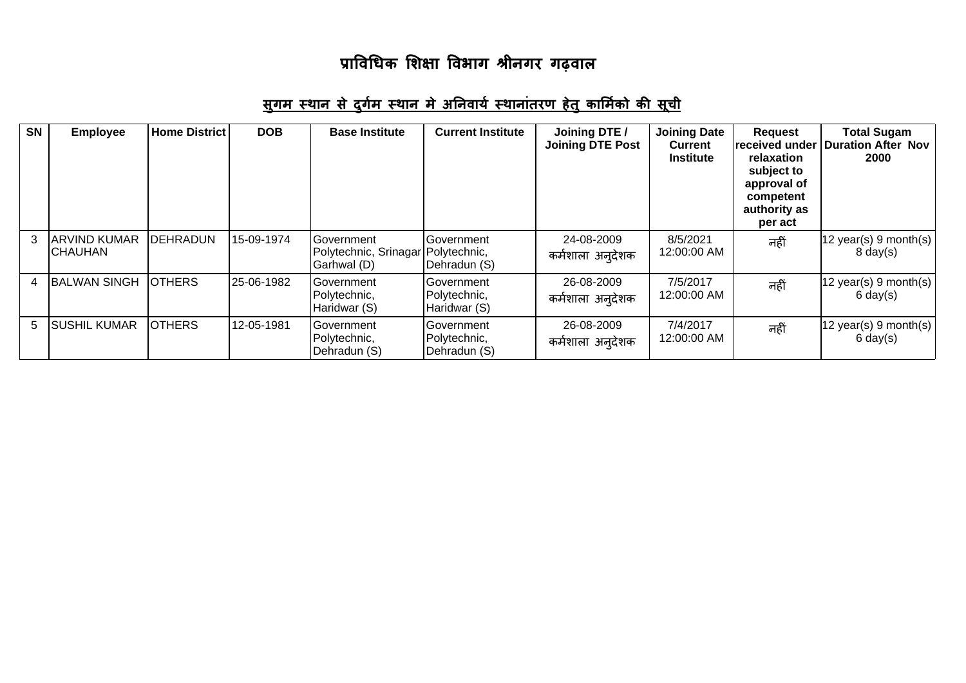| <b>SN</b> | <b>Employee</b>                       | <b>Home District</b> | <b>DOB</b> | <b>Base Institute</b>                                             | <b>Current Institute</b>                   | Joining DTE /<br><b>Joining DTE Post</b> | <b>Joining Date</b><br><b>Current</b><br><b>Institute</b> | <b>Request</b><br>received under<br>relaxation<br>subject to<br>approval of<br>competent<br>authority as<br>per act | <b>Total Sugam</b><br><b>Duration After Nov</b><br>2000         |
|-----------|---------------------------------------|----------------------|------------|-------------------------------------------------------------------|--------------------------------------------|------------------------------------------|-----------------------------------------------------------|---------------------------------------------------------------------------------------------------------------------|-----------------------------------------------------------------|
|           | <b>ARVIND KUMAR</b><br><b>CHAUHAN</b> | <b>DEHRADUN</b>      | 15-09-1974 | Government<br>Polytechnic, Srinagar   Polytechnic,<br>Garhwal (D) | Government<br>Dehradun (S)                 | 24-08-2009<br>कर्मशाला अन् <b>देशक</b>   | 8/5/2021<br>12:00:00 AM                                   | नहीं                                                                                                                | $ 12 \text{ year}(s) 9 \text{ month}(s) $<br>$8 \text{ day}(s)$ |
| 4         | <b>BALWAN SINGH</b>                   | <b>OTHERS</b>        | 25-06-1982 | Government<br>Polytechnic,<br>Haridwar (S)                        | Government<br>Polytechnic,<br>Haridwar (S) | 26-08-2009<br>कर्मशाला अन् <b>देशक</b>   | 7/5/2017<br>12:00:00 AM                                   | नहीं                                                                                                                | $ 12 \text{ year}(s) 9 \text{ month}(s) $<br>$6 \text{ day}(s)$ |
| 5.        | <b>SUSHIL KUMAR</b>                   | <b>OTHERS</b>        | 12-05-1981 | Government<br>Polytechnic,<br>Dehradun (S)                        | Government<br>Polytechnic,<br>Dehradun (S) | 26-08-2009<br>कर्मशाला अन् <b>देशक</b>   | 7/4/2017<br>12:00:00 AM                                   | नहीं                                                                                                                | $ 12 \text{ year}(s) 9 \text{ month}(s) $<br>$6 \text{ day}(s)$ |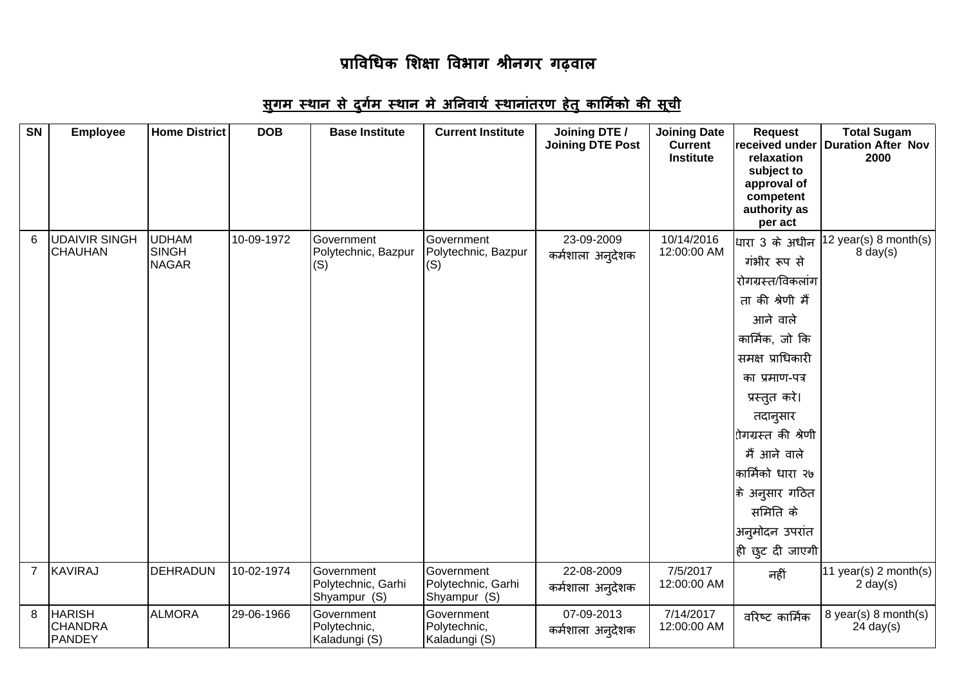| <b>SN</b>      | <b>Employee</b>                                  | <b>Home District</b>                         | <b>DOB</b> | <b>Base Institute</b>                            | <b>Current Institute</b>                         | Joining DTE /<br><b>Joining DTE Post</b> | <b>Joining Date</b><br><b>Current</b><br><b>Institute</b> | <b>Request</b><br>received under<br>relaxation<br>subject to<br>approval of<br>competent<br>authority as<br>per act                                                                                                                                                                                                  | <b>Total Sugam</b><br><b>Duration After Nov</b><br>2000 |
|----------------|--------------------------------------------------|----------------------------------------------|------------|--------------------------------------------------|--------------------------------------------------|------------------------------------------|-----------------------------------------------------------|----------------------------------------------------------------------------------------------------------------------------------------------------------------------------------------------------------------------------------------------------------------------------------------------------------------------|---------------------------------------------------------|
| 6              | <b>UDAIVIR SINGH</b><br><b>CHAUHAN</b>           | <b>UDHAM</b><br><b>SINGH</b><br><b>NAGAR</b> | 10-09-1972 | Government<br>Polytechnic, Bazpur<br>(S)         | Government<br>Polytechnic, Bazpur<br>(S)         | 23-09-2009<br>कर्मशाला अन् <b>देशक</b>   | 10/14/2016<br>12:00:00 AM                                 | धारा 3 के अधीन<br>गंभीर रूप से<br>रोगग्रस्त/विकलांग<br>ता की श्रेणी मैं<br>आने वाले<br>कार्मिक, जो कि<br>समक्ष प्राधिकारी<br>का प्रमाण-पत्र<br>प्रस्तुत करे।<br>तदानुसार<br><mark>ोगग्रस्त की श्रेणी</mark><br>मैं आने वाले<br>कार्मिको धारा २७<br> के अनुसार गठित<br>समिति के<br>अनुमोदन उपरांत<br> ही छुट दी जाएगी | 12 year(s) 8 month(s)<br>$8 \text{ day}(s)$             |
| $\overline{7}$ | KAVIRAJ                                          | DEHRADUN                                     | 10-02-1974 | Government<br>Polytechnic, Garhi<br>Shyampur (S) | Government<br>Polytechnic, Garhi<br>Shyampur (S) | 22-08-2009<br>कर्मशाला अन् <b>देशक</b>   | 7/5/2017<br>12:00:00 AM                                   | नहीं                                                                                                                                                                                                                                                                                                                 | 11 year(s) 2 month(s)<br>$2 \text{ day}(s)$             |
| 8              | <b>HARISH</b><br><b>CHANDRA</b><br><b>PANDEY</b> | <b>ALMORA</b>                                | 29-06-1966 | Government<br>Polytechnic,<br>Kaladungi (S)      | Government<br>Polytechnic,<br>Kaladungi (S)      | 07-09-2013<br>कर्मशाला अनुदेशक           | 7/14/2017<br>12:00:00 AM                                  | वरिष्ट कार्मिक                                                                                                                                                                                                                                                                                                       | 8 year(s) 8 month(s)<br>$24$ day(s)                     |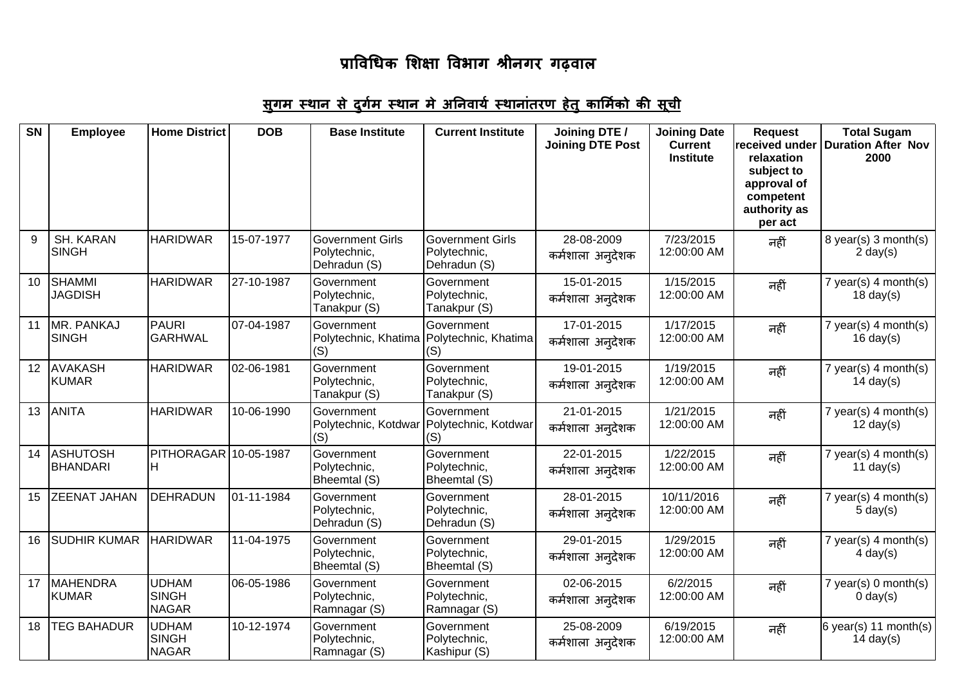| <b>SN</b>       | <b>Employee</b>                    | <b>Home District</b>                         | <b>DOB</b> | <b>Base Institute</b>                                          | <b>Current Institute</b>                                | Joining DTE /<br><b>Joining DTE Post</b> | <b>Joining Date</b><br><b>Current</b><br><b>Institute</b> | <b>Request</b><br>received under<br>relaxation<br>subject to<br>approval of<br>competent<br>authority as<br>per act | <b>Total Sugam</b><br><b>Duration After Nov</b><br>2000 |
|-----------------|------------------------------------|----------------------------------------------|------------|----------------------------------------------------------------|---------------------------------------------------------|------------------------------------------|-----------------------------------------------------------|---------------------------------------------------------------------------------------------------------------------|---------------------------------------------------------|
| 9               | <b>SH. KARAN</b><br><b>SINGH</b>   | <b>HARIDWAR</b>                              | 15-07-1977 | <b>Government Girls</b><br>Polytechnic,<br>Dehradun (S)        | <b>Government Girls</b><br>Polytechnic,<br>Dehradun (S) | 28-08-2009<br>कर्मशाला अन् <b>देशक</b>   | 7/23/2015<br>12:00:00 AM                                  | नहीं                                                                                                                | 8 year(s) 3 month(s)<br>$2 \text{ day}(s)$              |
| 10              | <b>SHAMMI</b><br><b>JAGDISH</b>    | <b>HARIDWAR</b>                              | 27-10-1987 | Government<br>Polytechnic,<br>Tanakpur (S)                     | Government<br>Polytechnic,<br>Tanakpur (S)              | 15-01-2015<br>कर्मशाला अन् <b>देशक</b>   | 1/15/2015<br>12:00:00 AM                                  | नहीं                                                                                                                | $7$ year(s) 4 month(s)<br>$18 \text{ day}(s)$           |
| 11              | MR. PANKAJ<br><b>SINGH</b>         | <b>PAURI</b><br><b>GARHWAL</b>               | 07-04-1987 | Government<br>Polytechnic, Khatima Polytechnic, Khatima<br>(S) | Government<br>(S)                                       | 17-01-2015<br>कर्मशाला अन् <b>देशक</b>   | 1/17/2015<br>12:00:00 AM                                  | नहीं                                                                                                                | $7$ year(s) 4 month(s)<br>$16 \text{ day}(s)$           |
| 12 <sup>2</sup> | <b>AVAKASH</b><br><b>KUMAR</b>     | <b>HARIDWAR</b>                              | 02-06-1981 | Government<br>Polytechnic,<br>Tanakpur (S)                     | Government<br>Polytechnic,<br>Tanakpur (S)              | 19-01-2015<br>कर्मशाला अन् <b>देशक</b>   | 1/19/2015<br>12:00:00 AM                                  | नहीं                                                                                                                | $7$ year(s) 4 month(s)<br>$14 \text{ day}(s)$           |
| 13              | <b>ANITA</b>                       | <b>HARIDWAR</b>                              | 10-06-1990 | Government<br>Polytechnic, Kotdwar Polytechnic, Kotdwar<br>(S) | Government<br>(S)                                       | 21-01-2015<br>कर्मशाला अन् <b>देशक</b>   | 1/21/2015<br>12:00:00 AM                                  | नहीं                                                                                                                | $7$ year(s) 4 month(s)<br>$12 \text{ day}(s)$           |
| 14              | <b>ASHUTOSH</b><br><b>BHANDARI</b> | PITHORAGAR 10-05-1987<br>н                   |            | Government<br>Polytechnic,<br>Bheemtal (S)                     | Government<br>Polytechnic,<br>Bheemtal (S)              | 22-01-2015<br>कर्मशाला अन् <b>देशक</b>   | 1/22/2015<br>12:00:00 AM                                  | नहीं                                                                                                                | $7$ year(s) 4 month(s)<br>11 day $(s)$                  |
| 15              | <b>ZEENAT JAHAN</b>                | <b>DEHRADUN</b>                              | 01-11-1984 | Government<br>Polytechnic,<br>Dehradun (S)                     | Government<br>Polytechnic,<br>Dehradun (S)              | 28-01-2015<br>कर्मशाला अन् <b>देशक</b>   | 10/11/2016<br>12:00:00 AM                                 | नहीं                                                                                                                | $7$ year(s) 4 month(s)<br>$5 \text{ day}(s)$            |
| 16              | <b>SUDHIR KUMAR</b>                | <b>HARIDWAR</b>                              | 11-04-1975 | Government<br>Polytechnic,<br>Bheemtal (S)                     | Government<br>Polytechnic,<br>Bheemtal (S)              | 29-01-2015<br>कर्मशाला अन् <b>देशक</b>   | 1/29/2015<br>12:00:00 AM                                  | नहीं                                                                                                                | $7$ year(s) 4 month(s)<br>$4$ day(s)                    |
| 17              | <b>MAHENDRA</b><br><b>KUMAR</b>    | <b>UDHAM</b><br><b>SINGH</b><br><b>NAGAR</b> | 06-05-1986 | Government<br>Polytechnic,<br>Ramnagar (S)                     | Government<br>Polytechnic,<br>Ramnagar (S)              | 02-06-2015<br>कर्मशाला अन् <b>देशक</b>   | 6/2/2015<br>12:00:00 AM                                   | नहीं                                                                                                                | 7 year(s) 0 month(s)<br>$0 \text{ day}(s)$              |
| 18              | <b>TEG BAHADUR</b>                 | <b>UDHAM</b><br><b>SINGH</b><br><b>NAGAR</b> | 10-12-1974 | Government<br>Polytechnic,<br>Ramnagar (S)                     | Government<br>Polytechnic,<br>Kashipur (S)              | 25-08-2009<br>कर्मशाला अन् <b>देशक</b>   | 6/19/2015<br>12:00:00 AM                                  | नहीं                                                                                                                | $6$ year(s) 11 month(s)<br>$14 \text{ day}(s)$          |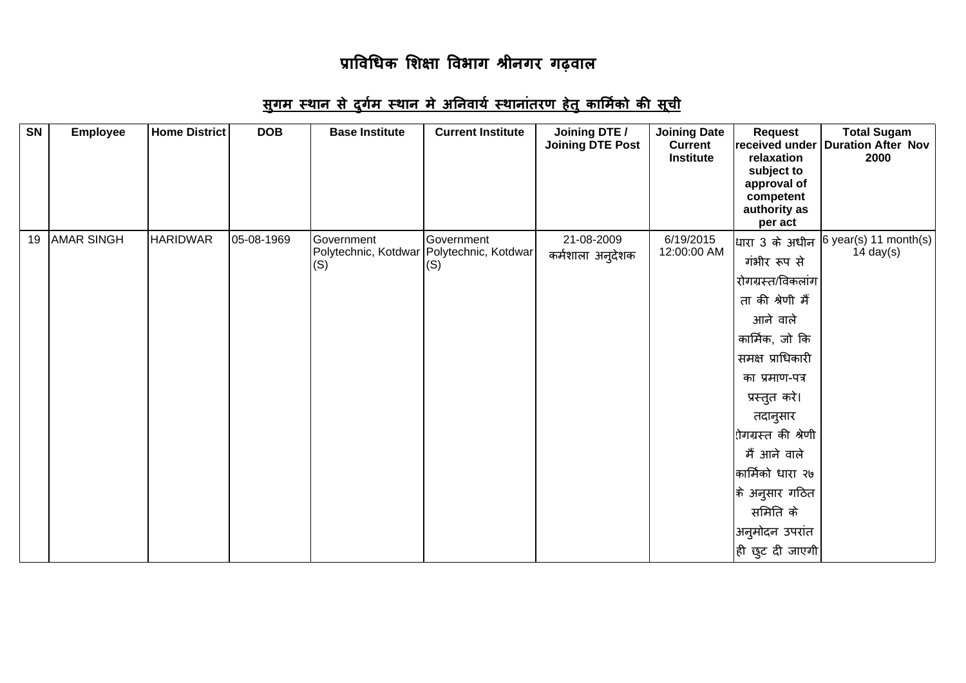| SN | <b>Employee</b>   | <b>Home District</b> | <b>DOB</b> | <b>Base Institute</b>                                            | <b>Current Institute</b> | Joining DTE /<br><b>Joining DTE Post</b> | <b>Joining Date</b><br><b>Current</b><br><b>Institute</b> | <b>Request</b><br>relaxation<br>subject to<br>approval of<br>competent<br>authority as<br>per act                                                                                                                                                                                                                                      | <b>Total Sugam</b><br>received under   Duration After Nov<br>2000 |
|----|-------------------|----------------------|------------|------------------------------------------------------------------|--------------------------|------------------------------------------|-----------------------------------------------------------|----------------------------------------------------------------------------------------------------------------------------------------------------------------------------------------------------------------------------------------------------------------------------------------------------------------------------------------|-------------------------------------------------------------------|
| 19 | <b>AMAR SINGH</b> | <b>HARIDWAR</b>      | 05-08-1969 | Government<br>Polytechnic, Kotdwar   Polytechnic, Kotdwar<br>(S) | Government<br>(S)        | 21-08-2009<br>कर्मशाला अनुदेशक           | 6/19/2015<br>12:00:00 AM                                  | धािरा 3 के अधीन<br>गंभीर रूप से<br>रोगग्रस्त/विकलांग<br>ता की श्रेणी मैं<br>आने वाले<br>कार्मिक, जो कि<br>समक्ष प्राधिकारी<br>का प्रमाण-पत्र<br>प्रस्तुत करे।<br>तदानुसार<br>रोगग्रस्त की श्रेणी<br>मैं आने वाले<br>कार्मिको धारा २७<br> के अनुसार गठित<br>समिति के<br>अनुमोदन उपरांत<br>$ \hat{\mathfrak{g}} $ छुट दी जाएगी $ \hat{}$ | 6 year(s) 11 month(s)<br>14 day $(s)$                             |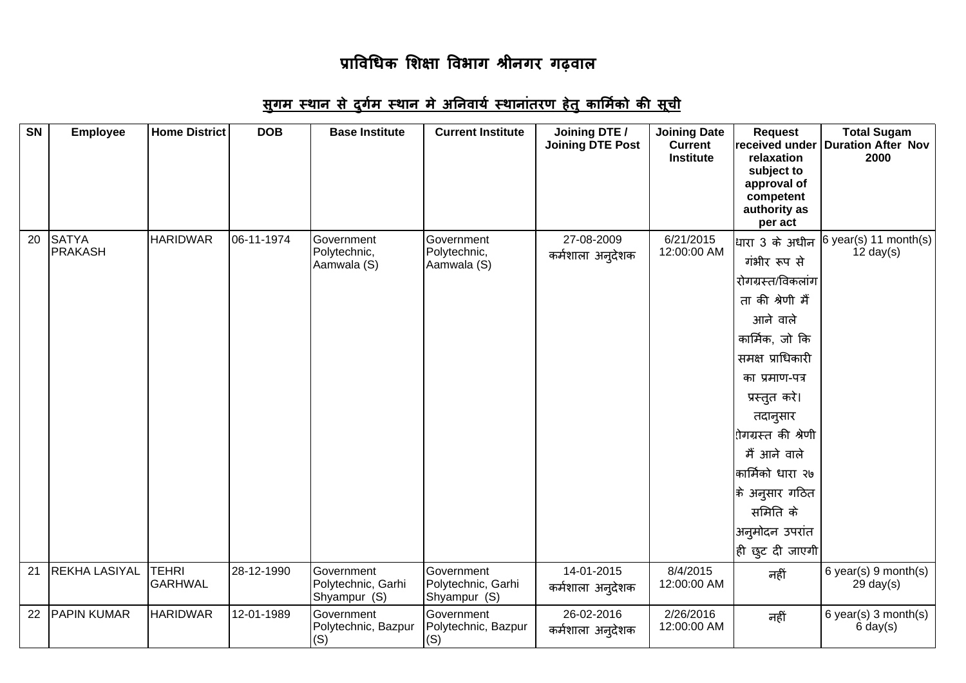| SN | <b>Employee</b>                | <b>Home District</b>    | <b>DOB</b> | <b>Base Institute</b>                            | <b>Current Institute</b>                         | Joining DTE /<br><b>Joining DTE Post</b> | <b>Joining Date</b><br><b>Current</b><br><b>Institute</b> | <b>Request</b><br>received under<br>relaxation<br>subject to<br>approval of<br>competent<br>authority as<br>per act                                                                                                                                                                                                               | <b>Total Sugam</b><br><b>Duration After Nov</b><br>2000 |
|----|--------------------------------|-------------------------|------------|--------------------------------------------------|--------------------------------------------------|------------------------------------------|-----------------------------------------------------------|-----------------------------------------------------------------------------------------------------------------------------------------------------------------------------------------------------------------------------------------------------------------------------------------------------------------------------------|---------------------------------------------------------|
| 20 | <b>SATYA</b><br><b>PRAKASH</b> | <b>HARIDWAR</b>         | 06-11-1974 | Government<br>Polytechnic,<br>Aamwala (S)        | Government<br>Polytechnic,<br>Aamwala (S)        | 27-08-2009<br>कर्मशाला अन् <b>देशक</b>   | 6/21/2015<br>12:00:00 AM                                  | धारा 3 के अधीन<br>गंभीर रूप से<br>रोगग्रस्त/विकलांग<br>ता की श्रेणी मैं<br>आने वाले<br>कार्मिक, जो कि<br>समक्ष प्राधिकारी<br>का प्रमाण-पत्र<br>प्रस्तुत करे।<br>तदानुसार<br>l़ोगग्रस्त की श्रेणी<br>मैं आने वाले<br>कार्मिको धारा २७<br> के अनुसार गठित<br>समिति के<br>अनुमोदन उपरांत<br>$ \hat{\mathfrak{g}}$ ि छुट दी जाएगी $ $ | $6$ year(s) 11 month(s)<br>$12 \text{ day}(s)$          |
| 21 | <b>REKHA LASIYAL</b>           | <b>TEHRI</b><br>GARHWAL | 28-12-1990 | Government<br>Polytechnic, Garhi<br>Shyampur (S) | Government<br>Polytechnic, Garhi<br>Shyampur (S) | 14-01-2015<br>कर्मशाला अन् <b>देशक</b>   | 8/4/2015<br>12:00:00 AM                                   | नहीं                                                                                                                                                                                                                                                                                                                              | $6$ year(s) $9$ month(s)<br>$29 \text{ day}(s)$         |
| 22 | <b>PAPIN KUMAR</b>             | <b>HARIDWAR</b>         | 12-01-1989 | Government<br>Polytechnic, Bazpur<br>(S)         | Government<br>Polytechnic, Bazpur<br>(S)         | 26-02-2016<br>कर्मशाला अन् <b>देशक</b>   | 2/26/2016<br>12:00:00 AM                                  | नहीं                                                                                                                                                                                                                                                                                                                              | 6 year(s) $3$ month(s)<br>$6 \text{ day}(s)$            |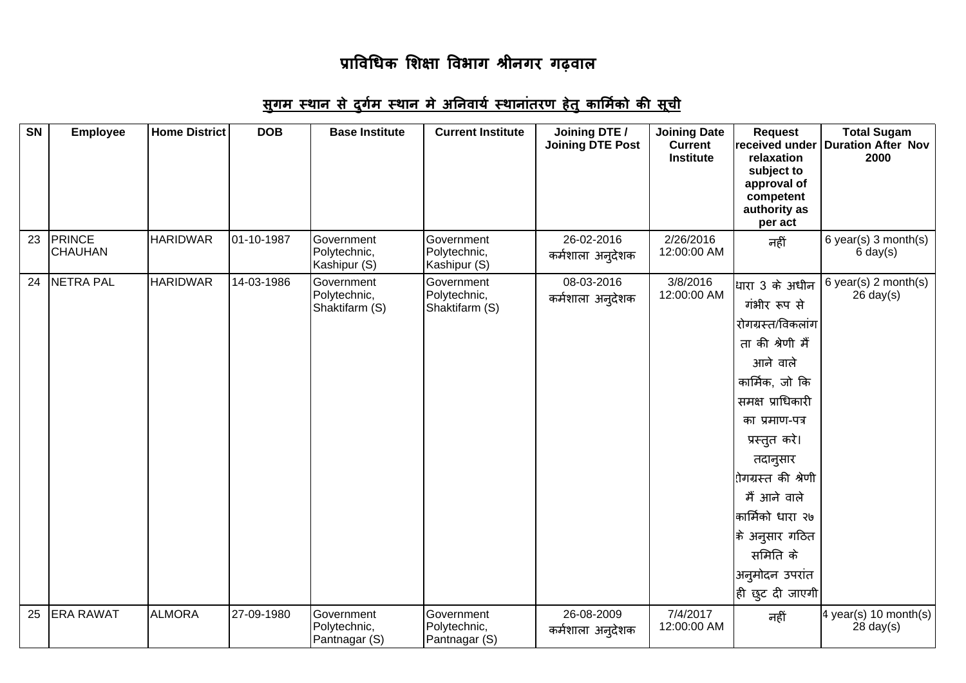| <b>SN</b> | <b>Employee</b>                 | <b>Home District</b> | <b>DOB</b> | <b>Base Institute</b>                        | <b>Current Institute</b>                     | Joining DTE /<br><b>Joining DTE Post</b> | <b>Joining Date</b><br><b>Current</b><br><b>Institute</b> | <b>Request</b><br>received under<br>relaxation<br>subject to<br>approval of<br>competent<br>authority as<br>per act                                                                                                                                                                                                             | <b>Total Sugam</b><br><b>Duration After Nov</b><br>2000 |
|-----------|---------------------------------|----------------------|------------|----------------------------------------------|----------------------------------------------|------------------------------------------|-----------------------------------------------------------|---------------------------------------------------------------------------------------------------------------------------------------------------------------------------------------------------------------------------------------------------------------------------------------------------------------------------------|---------------------------------------------------------|
| 23        | <b>PRINCE</b><br><b>CHAUHAN</b> | <b>HARIDWAR</b>      | 01-10-1987 | Government<br>Polytechnic,<br>Kashipur (S)   | Government<br>Polytechnic,<br>Kashipur (S)   | 26-02-2016<br>कर्मशाला अन् <b>देशक</b>   | 2/26/2016<br>12:00:00 AM                                  | नहीं                                                                                                                                                                                                                                                                                                                            | 6 year(s) 3 month(s)<br>$6 \text{ day}(s)$              |
| 24        | NETRA PAL                       | <b>HARIDWAR</b>      | 14-03-1986 | Government<br>Polytechnic,<br>Shaktifarm (S) | Government<br>Polytechnic,<br>Shaktifarm (S) | 08-03-2016<br>कर्मशाला अनुदेशक           | 3/8/2016<br>12:00:00 AM                                   | धारा 3 के अधीन<br>गंभीर रूप से<br>रोगग्रस्त/विकलांग<br>ता की श्रेणी मैं<br>आने वाले<br>कार्मिक, जो कि<br>समक्ष प्राधिकारी<br>का प्रमाण-पत्र<br>प्रस्तुत करे।<br>तदानुसार<br>रोगग्रस्त की श्रेणी<br>मैं आने वाले<br>कार्मिको धारा २७<br> के अनुसार गठित<br>समिति के<br>अनुमोदन उपरांत<br>$ \hat{\mathfrak{g}} $ छुट दी जाएगी $ $ | 6 year(s) $2$ month(s)<br>$26 \text{ day}(s)$           |
| 25        | <b>ERA RAWAT</b>                | <b>ALMORA</b>        | 27-09-1980 | Government<br>Polytechnic,<br>Pantnagar (S)  | Government<br>Polytechnic,<br>Pantnagar (S)  | 26-08-2009<br>कर्मशाला अन् <b>देशक</b>   | 7/4/2017<br>12:00:00 AM                                   | नहीं                                                                                                                                                                                                                                                                                                                            | 4 year(s) 10 month(s)<br>$28$ day(s)                    |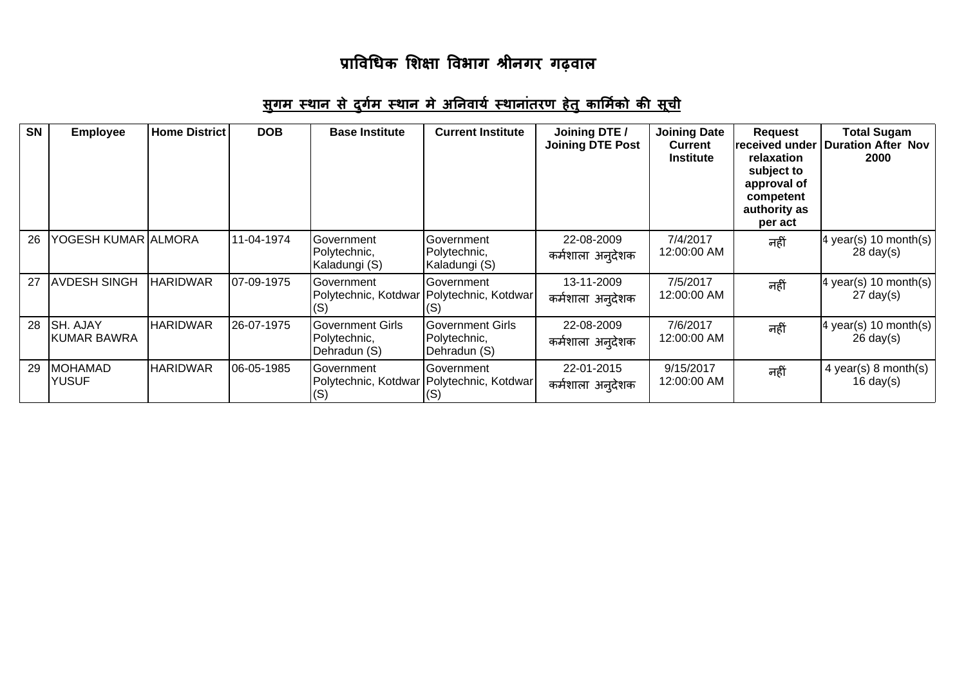| <b>SN</b> | <b>Employee</b>                | <b>Home District</b> | <b>DOB</b> | <b>Base Institute</b>                                          | <b>Current Institute</b>                                | Joining DTE /<br><b>Joining DTE Post</b> | <b>Joining Date</b><br><b>Current</b><br><b>Institute</b> | Request<br>received under<br>relaxation<br>subject to<br>approval of<br>competent<br>authority as<br>per act | <b>Total Sugam</b><br><b>Duration After Nov</b><br>2000          |
|-----------|--------------------------------|----------------------|------------|----------------------------------------------------------------|---------------------------------------------------------|------------------------------------------|-----------------------------------------------------------|--------------------------------------------------------------------------------------------------------------|------------------------------------------------------------------|
| 26        | YOGESH KUMAR  ALMORA           |                      | 11-04-1974 | Government<br>Polytechnic,<br>Kaladungi (S)                    | Government<br>Polytechnic,<br>Kaladungi (S)             | 22-08-2009<br>कर्मशाला अन् <b>देशक</b>   | 7/4/2017<br>12:00:00 AM                                   | नहीं                                                                                                         | 4 year(s) 10 month(s)<br>$28 \text{ day}(s)$                     |
| 27        | <b>AVDESH SINGH</b>            | <b>HARIDWAR</b>      | 07-09-1975 | Government<br>Polytechnic, Kotdwar Polytechnic, Kotdwar<br>(S) | Government<br>(S)                                       | 13-11-2009<br>कर्मशाला अन् <b>देशक</b>   | 7/5/2017<br>12:00:00 AM                                   | नहीं                                                                                                         | $ 4 \text{ year}(s) 10 \text{ month}(s) $<br>$27 \text{ day}(s)$ |
| 28        | <b>SH. AJAY</b><br>KUMAR BAWRA | <b>HARIDWAR</b>      | 26-07-1975 | Government Girls<br>Polytechnic,<br>Dehradun (S)               | <b>Government Girls</b><br>Polytechnic,<br>Dehradun (S) | 22-08-2009<br>कर्मशाला अन् <b>देशक</b>   | 7/6/2017<br>12:00:00 AM                                   | नहीं                                                                                                         | 4 year(s) 10 month(s)<br>$26 \text{ day}(s)$                     |
| 29        | <b>MOHAMAD</b><br><b>YUSUF</b> | <b>HARIDWAR</b>      | 06-05-1985 | Government<br>Polytechnic, Kotdwar Polytechnic, Kotdwar<br>(S) | Government<br>(S)                                       | 22-01-2015<br>कर्मशाला अन् <b>देशक</b>   | 9/15/2017<br>12:00:00 AM                                  | नहीं                                                                                                         | $4$ year(s) 8 month(s)<br>$16 \text{ day}(s)$                    |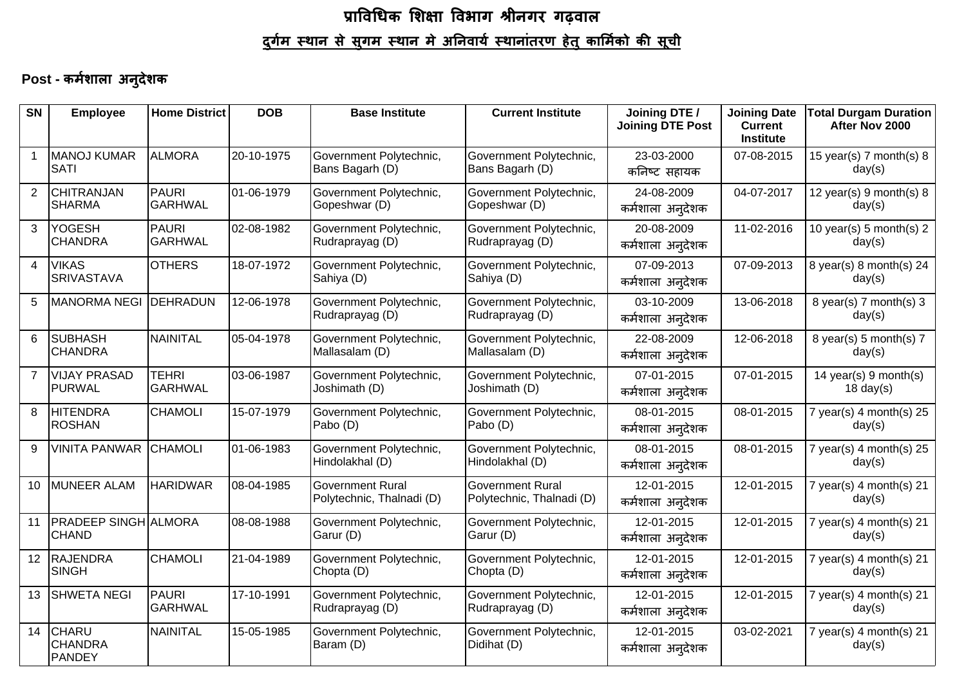# प्राविधिक शिक्षा विभाग श्रीनगर गढ़वाल <u>दुर्गम स्थान से सुगम स्थान मे अनिवार्य स्थानांतरण हेतु कार्मिको की सूची</u>

#### Post - कर्मशाला अनुदेशक

| <b>SN</b>      | <b>Employee</b>                                 | <b>Home District</b>           | <b>DOB</b> | <b>Base Institute</b>                                | <b>Current Institute</b>                             | Joining DTE /<br><b>Joining DTE Post</b> | <b>Joining Date</b><br><b>Current</b><br><b>Institute</b> | <b>Total Durgam Duration</b><br>After Nov 2000 |
|----------------|-------------------------------------------------|--------------------------------|------------|------------------------------------------------------|------------------------------------------------------|------------------------------------------|-----------------------------------------------------------|------------------------------------------------|
| $\mathbf{1}$   | MANOJ KUMAR<br><b>SATI</b>                      | <b>ALMORA</b>                  | 20-10-1975 | Government Polytechnic,<br>Bans Bagarh (D)           | Government Polytechnic,<br>Bans Bagarh (D)           | 23-03-2000<br>कनिष्ट सहायक               | 07-08-2015                                                | 15 year(s) $7$ month(s) $8$<br>day(s)          |
| $\overline{2}$ | CHITRANJAN<br><b>SHARMA</b>                     | PAURI<br><b>GARHWAL</b>        | 01-06-1979 | Government Polytechnic,<br>Gopeshwar (D)             | Government Polytechnic,<br>Gopeshwar (D)             | 24-08-2009<br>कर्मशाला अनुदेशक           | 04-07-2017                                                | 12 year(s) $9$ month(s) $8$<br>day(s)          |
| 3              | <b>YOGESH</b><br><b>CHANDRA</b>                 | PAURI<br>GARHWAL               | 02-08-1982 | Government Polytechnic,<br>Rudraprayag (D)           | Government Polytechnic,<br>Rudraprayag (D)           | 20-08-2009<br>कर्मशाला अन् <b>देशक</b>   | 11-02-2016                                                | 10 year(s) 5 month(s) $2$<br>day(s)            |
| $\overline{4}$ | <b>VIKAS</b><br><b>SRIVASTAVA</b>               | <b>OTHERS</b>                  | 18-07-1972 | Government Polytechnic,<br>Sahiya (D)                | Government Polytechnic,<br>Sahiya (D)                | 07-09-2013<br>कर्मशाला अनुदेशक           | 07-09-2013                                                | 8 year(s) $8$ month(s) 24<br>day(s)            |
| 5              | <b>MANORMA NEGI</b>                             | DEHRADUN                       | 12-06-1978 | Government Polytechnic,<br>Rudraprayag (D)           | Government Polytechnic,<br>Rudraprayag (D)           | 03-10-2009<br>कर्मशाला अन् <b>देशक</b>   | 13-06-2018                                                | 8 year(s) $7$ month(s) $3$<br>day(s)           |
| 6              | <b>SUBHASH</b><br><b>CHANDRA</b>                | INAINITAL                      | 05-04-1978 | Government Polytechnic,<br>Mallasalam (D)            | Government Polytechnic,<br>Mallasalam (D)            | 22-08-2009<br>कर्मशाला अनुदेशक           | 12-06-2018                                                | 8 year(s) 5 month(s) 7<br>day(s)               |
| $\overline{7}$ | <b>VIJAY PRASAD</b><br><b>PURWAL</b>            | <b>TEHRI</b><br><b>GARHWAL</b> | 03-06-1987 | Government Polytechnic,<br>Joshimath (D)             | Government Polytechnic,<br>Joshimath (D)             | 07-01-2015<br>कर्मशाला अन् <b>देशक</b>   | 07-01-2015                                                | 14 year(s) $9$ month(s)<br>$18 \text{ day}(s)$ |
| 8              | <b>HITENDRA</b><br><b>ROSHAN</b>                | <b>CHAMOLI</b>                 | 15-07-1979 | Government Polytechnic,<br>Pabo (D)                  | Government Polytechnic,<br>Pabo (D)                  | 08-01-2015<br>कर्मशाला अनुदेशक           | 08-01-2015                                                | 7 year(s) $4$ month(s) $25$<br>day(s)          |
| 9              | <b>VINITA PANWAR</b>                            | CHAMOLI                        | 01-06-1983 | Government Polytechnic,<br>Hindolakhal (D)           | Government Polytechnic,<br>Hindolakhal (D)           | 08-01-2015<br>कर्मशाला अन् <b>देशक</b>   | 08-01-2015                                                | 7 year(s) $4$ month(s) 25<br>day(s)            |
| 10             | MUNEER ALAM                                     | <b>HARIDWAR</b>                | 08-04-1985 | <b>Government Rural</b><br>Polytechnic, Thalnadi (D) | <b>Government Rural</b><br>Polytechnic, Thalnadi (D) | 12-01-2015<br>कर्मशाला अन् <b>देशक</b>   | 12-01-2015                                                | 7 year(s) $4$ month(s) $21$<br>day(s)          |
| 11             | <b>PRADEEP SINGH ALMORA</b><br><b>CHAND</b>     |                                | 08-08-1988 | Government Polytechnic,<br>Garur (D)                 | Government Polytechnic,<br>Garur (D)                 | 12-01-2015<br>कर्मशाला अनुदेशक           | 12-01-2015                                                | 7 year(s) $4$ month(s) $21$<br>day(s)          |
| 12             | RAJENDRA<br><b>SINGH</b>                        | <b>CHAMOLI</b>                 | 21-04-1989 | Government Polytechnic,<br>Chopta (D)                | Government Polytechnic,<br>Chopta (D)                | 12-01-2015<br>कर्मशाला अन् <b>देशक</b>   | 12-01-2015                                                | $7$ year(s) 4 month(s) 21<br>day(s)            |
| 13             | <b>SHWETA NEGI</b>                              | PAURI<br><b>GARHWAL</b>        | 17-10-1991 | Government Polytechnic,<br>Rudraprayag (D)           | Government Polytechnic,<br>Rudraprayag (D)           | 12-01-2015<br>कर्मशाला अन् <b>देशक</b>   | 12-01-2015                                                | 7 year(s) $4$ month(s) $21$<br>day(s)          |
| 14             | <b>CHARU</b><br><b>CHANDRA</b><br><b>PANDEY</b> | NAINITAL                       | 15-05-1985 | Government Polytechnic,<br>Baram (D)                 | Government Polytechnic,<br>Didihat (D)               | 12-01-2015<br>कर्मशाला अन् <b>देशक</b>   | 03-02-2021                                                | 7 year(s) $4$ month(s) $21$<br>day(s)          |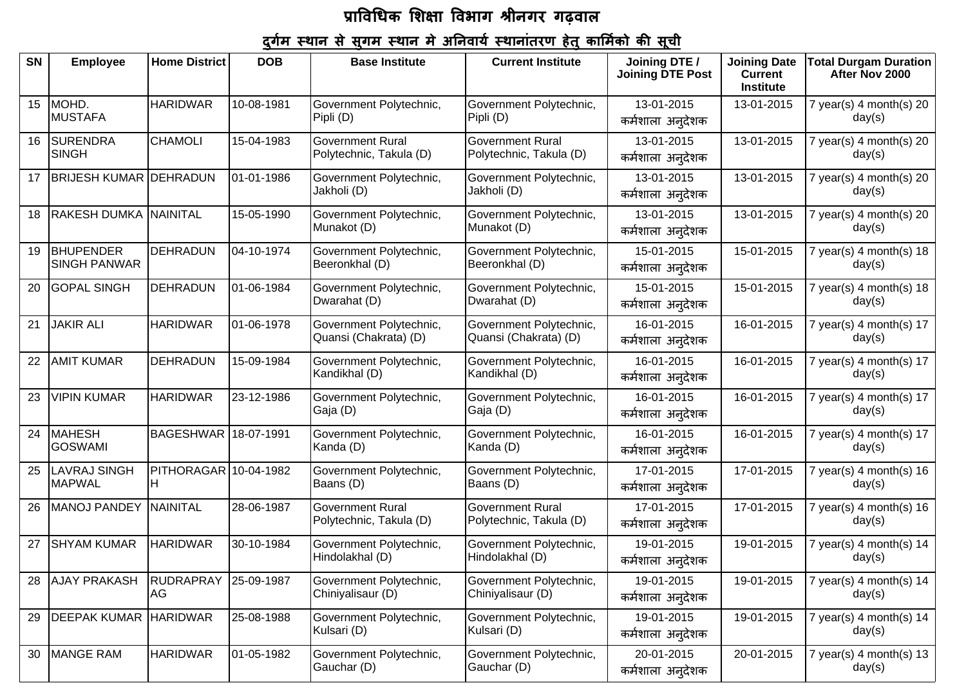| <b>SN</b> | <b>Employee</b>                         | <b>Home District</b>        | <b>DOB</b> | <b>Base Institute</b>                              | <b>Current Institute</b>                           | Joining DTE /                          | <b>Joining Date</b>         | <b>Total Durgam Duration</b>          |
|-----------|-----------------------------------------|-----------------------------|------------|----------------------------------------------------|----------------------------------------------------|----------------------------------------|-----------------------------|---------------------------------------|
|           |                                         |                             |            |                                                    |                                                    | <b>Joining DTE Post</b>                | <b>Current</b><br>Institute | After Nov 2000                        |
| 15        | MOHD.<br><b>MUSTAFA</b>                 | <b>HARIDWAR</b>             | 10-08-1981 | Government Polytechnic,<br>Pipli (D)               | Government Polytechnic,<br>Pipli (D)               | 13-01-2015<br>कर्मशाला अन् <b>देशक</b> | 13-01-2015                  | 7 year(s) 4 month(s) 20<br>day(s)     |
| 16        | <b>SURENDRA</b><br><b>SINGH</b>         | <b>CHAMOLI</b>              | 15-04-1983 | <b>Government Rural</b><br>Polytechnic, Takula (D) | <b>Government Rural</b><br>Polytechnic, Takula (D) | 13-01-2015<br>कर्मशाला अनुदेशक         | 13-01-2015                  | $7$ year(s) 4 month(s) 20<br>day(s)   |
| 17        | <b>BRIJESH KUMAR DEHRADUN</b>           |                             | 01-01-1986 | Government Polytechnic,<br>Jakholi (D)             | Government Polytechnic,<br>Jakholi (D)             | 13-01-2015<br>कर्मशाला अन् <b>देशक</b> | 13-01-2015                  | $7$ year(s) 4 month(s) 20<br>day(s)   |
| 18        | <b>RAKESH DUMKA NAINITAL</b>            |                             | 15-05-1990 | Government Polytechnic,<br>Munakot (D)             | Government Polytechnic,<br>Munakot (D)             | 13-01-2015<br>कर्मशाला अनुदेशक         | 13-01-2015                  | 7 year(s) 4 month(s) 20<br>day(s)     |
| 19        | <b>BHUPENDER</b><br><b>SINGH PANWAR</b> | <b>DEHRADUN</b>             | 04-10-1974 | Government Polytechnic,<br>Beeronkhal (D)          | Government Polytechnic,<br>Beeronkhal (D)          | 15-01-2015<br>कर्मशाला अनुदेशक         | 15-01-2015                  | 7 year(s) 4 month(s) 18<br>day(s)     |
| 20        | <b>GOPAL SINGH</b>                      | <b>DEHRADUN</b>             | 01-06-1984 | Government Polytechnic,<br>Dwarahat (D)            | Government Polytechnic,<br>Dwarahat (D)            | 15-01-2015<br>कर्मशाला अन् <b>देशक</b> | 15-01-2015                  | $7$ year(s) 4 month(s) 18<br>day(s)   |
| 21        | <b>JAKIR ALI</b>                        | <b>HARIDWAR</b>             | 01-06-1978 | Government Polytechnic,<br>Quansi (Chakrata) (D)   | Government Polytechnic,<br>Quansi (Chakrata) (D)   | 16-01-2015<br>कर्मशाला अनुदेशक         | 16-01-2015                  | 7 year(s) 4 month(s) $17$<br>day(s)   |
| 22        | <b>AMIT KUMAR</b>                       | <b>DEHRADUN</b>             | 15-09-1984 | Government Polytechnic,<br>Kandikhal (D)           | Government Polytechnic,<br>Kandikhal (D)           | 16-01-2015<br>कर्मशाला अनुदेशक         | 16-01-2015                  | 7 year(s) 4 month(s) $17$<br>day(s)   |
| 23        | <b>VIPIN KUMAR</b>                      | <b>HARIDWAR</b>             | 23-12-1986 | Government Polytechnic,<br>Gaja (D)                | Government Polytechnic,<br>Gaja (D)                | 16-01-2015<br>कर्मशाला अनुदेशक         | 16-01-2015                  | 7 year(s) 4 month(s) $17$<br>day(s)   |
| 24        | <b>MAHESH</b><br><b>GOSWAMI</b>         | BAGESHWAR 18-07-1991        |            | Government Polytechnic,<br>Kanda (D)               | Government Polytechnic,<br>Kanda (D)               | 16-01-2015<br>कर्मशाला अनुदेशक         | 16-01-2015                  | 7 year(s) 4 month(s) $17$<br>day(s)   |
| 25        | <b>LAVRAJ SINGH</b><br><b>MAPWAL</b>    | PITHORAGAR 10-04-1982<br>H. |            | Government Polytechnic,<br>Baans (D)               | Government Polytechnic,<br>Baans (D)               | 17-01-2015<br>कर्मशाला अनुदेशक         | 17-01-2015                  | 7 year(s) $4$ month(s) $16$<br>day(s) |
| 26        | <b>MANOJ PANDEY</b>                     | NAINITAL                    | 28-06-1987 | <b>Government Rural</b><br>Polytechnic, Takula (D) | <b>Government Rural</b><br>Polytechnic, Takula (D) | 17-01-2015<br>कर्मशाला अनुदेशक         | 17-01-2015                  | 7 year(s) $4$ month(s) $16$<br>day(s) |
| 27        | <b>SHYAM KUMAR</b>                      | <b>HARIDWAR</b>             | 30-10-1984 | Government Polytechnic,<br>Hindolakhal (D)         | Government Polytechnic,<br>Hindolakhal (D)         | 19-01-2015<br>कर्मशाला अनुदेशक         | 19-01-2015                  | 7 year(s) $4$ month(s) $14$<br>day(s) |
| 28        | <b>AJAY PRAKASH</b>                     | <b>RUDRAPRAY</b><br>AG      | 25-09-1987 | Government Polytechnic,<br>Chiniyalisaur (D)       | Government Polytechnic,<br>Chiniyalisaur (D)       | 19-01-2015<br>कर्मशाला अन् <b>देशक</b> | 19-01-2015                  | 7 year(s) $4$ month(s) $14$<br>day(s) |
| 29        | DEEPAK KUMAR HARIDWAR                   |                             | 25-08-1988 | Government Polytechnic,<br>Kulsari (D)             | Government Polytechnic,<br>Kulsari (D)             | 19-01-2015<br>कर्मशाला अन् <b>देशक</b> | 19-01-2015                  | 7 year(s) 4 month(s) $14$<br>day(s)   |
| 30        | <b>MANGE RAM</b>                        | <b>HARIDWAR</b>             | 01-05-1982 | Government Polytechnic,<br>Gauchar (D)             | Government Polytechnic,<br>Gauchar (D)             | 20-01-2015<br>कर्मशाला अनुदेशक         | 20-01-2015                  | $7$ year(s) 4 month(s) 13<br>day(s)   |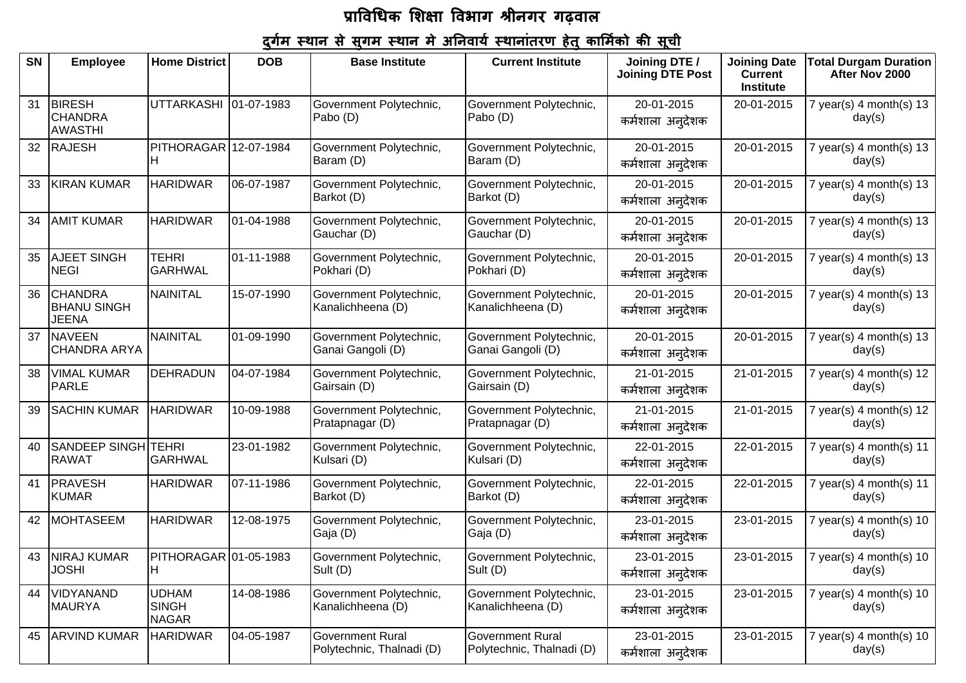| <b>SN</b> | <b>Employee</b>                                   | <b>Home District</b>                         | <b>DOB</b> | <b>Base Institute</b>                                | <b>Current Institute</b>                             | Joining DTE /<br><b>Joining DTE Post</b> | <b>Joining Date</b><br><b>Current</b><br><b>Institute</b> | <b>Total Durgam Duration</b><br>After Nov 2000 |
|-----------|---------------------------------------------------|----------------------------------------------|------------|------------------------------------------------------|------------------------------------------------------|------------------------------------------|-----------------------------------------------------------|------------------------------------------------|
| 31        | <b>BIRESH</b><br><b>CHANDRA</b><br><b>AWASTHI</b> | UTTARKASHI 01-07-1983                        |            | Government Polytechnic,<br>Pabo (D)                  | Government Polytechnic,<br>Pabo (D)                  | 20-01-2015<br>कर्मशाला अन् <b>देशक</b>   | 20-01-2015                                                | 7 year(s) $4$ month(s) $13$<br>day(s)          |
| 32        | <b>RAJESH</b>                                     | PITHORAGAR 12-07-1984<br>н                   |            | Government Polytechnic,<br>Baram (D)                 | Government Polytechnic,<br>Baram (D)                 | 20-01-2015<br>कर्मशाला अनुदेशक           | 20-01-2015                                                | 7 year(s) $4$ month(s) $13$<br>day(s)          |
| 33        | <b>KIRAN KUMAR</b>                                | <b>HARIDWAR</b>                              | 06-07-1987 | Government Polytechnic,<br>Barkot (D)                | Government Polytechnic,<br>Barkot (D)                | 20-01-2015<br>कर्मशाला अनुदेशक           | 20-01-2015                                                | $7$ year(s) 4 month(s) 13<br>day(s)            |
| 34        | <b>AMIT KUMAR</b>                                 | <b>HARIDWAR</b>                              | 01-04-1988 | Government Polytechnic,<br>Gauchar (D)               | Government Polytechnic,<br>Gauchar (D)               | 20-01-2015<br>कर्मशाला अन् <b>देशक</b>   | 20-01-2015                                                | 7 year(s) 4 month(s) $13$<br>day(s)            |
| 35        | <b>AJEET SINGH</b><br><b>NEGI</b>                 | <b>TEHRI</b><br><b>GARHWAL</b>               | 01-11-1988 | Government Polytechnic,<br>Pokhari (D)               | Government Polytechnic,<br>Pokhari (D)               | 20-01-2015<br>कर्मशाला अनुदेशक           | 20-01-2015                                                | $7$ year(s) 4 month(s) 13<br>day(s)            |
| 36        | <b>CHANDRA</b><br><b>BHANU SINGH</b><br>JEENA     | NAINITAL                                     | 15-07-1990 | Government Polytechnic,<br>Kanalichheena (D)         | Government Polytechnic,<br>Kanalichheena (D)         | 20-01-2015<br>कर्मशाला अनुदेशक           | 20-01-2015                                                | 7 year(s) $4$ month(s) $13$<br>day(s)          |
| 37        | <b>NAVEEN</b><br>CHANDRA ARYA                     | NAINITAL                                     | 01-09-1990 | Government Polytechnic,<br>Ganai Gangoli (D)         | Government Polytechnic,<br>Ganai Gangoli (D)         | 20-01-2015<br>कर्मशाला अनुदेशक           | 20-01-2015                                                | 7 year(s) $4$ month(s) $13$<br>day(s)          |
| 38        | <b>VIMAL KUMAR</b><br>PARLE                       | DEHRADUN                                     | 04-07-1984 | Government Polytechnic,<br>Gairsain (D)              | Government Polytechnic,<br>Gairsain (D)              | 21-01-2015<br>कर्मशाला अनुदेशक           | 21-01-2015                                                | 7 year(s) $4$ month(s) $12$<br>day(s)          |
| 39        | <b>SACHIN KUMAR</b>                               | <b>HARIDWAR</b>                              | 10-09-1988 | Government Polytechnic,<br>Pratapnagar (D)           | Government Polytechnic,<br>Pratapnagar (D)           | 21-01-2015<br>कर्मशाला अन् <b>देशक</b>   | 21-01-2015                                                | 7 year(s) 4 month(s) $12$<br>day(s)            |
| 40        | <b>SANDEEP SINGH</b><br><b>RAWAT</b>              | <b>TEHRI</b><br><b>GARHWAL</b>               | 23-01-1982 | Government Polytechnic,<br>Kulsari (D)               | Government Polytechnic,<br>Kulsari (D)               | 22-01-2015<br>कर्मशाला अनुदेशक           | 22-01-2015                                                | 7 year(s) 4 month(s) 11<br>day(s)              |
| 41        | PRAVESH<br><b>KUMAR</b>                           | <b>HARIDWAR</b>                              | 07-11-1986 | Government Polytechnic,<br>Barkot (D)                | Government Polytechnic,<br>Barkot (D)                | 22-01-2015<br>कर्मशाला अनुदेशक           | 22-01-2015                                                | $7$ year(s) 4 month(s) 11<br>day(s)            |
| 42        | MOHTASEEM                                         | <b>HARIDWAR</b>                              | 12-08-1975 | Government Polytechnic,<br>Gaja (D)                  | Government Polytechnic,<br>Gaja (D)                  | 23-01-2015<br>कर्मशाला अन् <b>देशक</b>   | 23-01-2015                                                | 7 year(s) $4$ month(s) $10$<br>day(s)          |
| 43        | NIRAJ KUMAR<br><b>JOSHI</b>                       | PITHORAGAR 01-05-1983<br>Iн                  |            | Government Polytechnic,<br>Sult (D)                  | Government Polytechnic,<br>Sult (D)                  | 23-01-2015<br>कर्मशाला अनुदेशक           | 23-01-2015                                                | 7 year(s) 4 month(s) 10<br>day(s)              |
| 44        | VIDYANAND<br><b>MAURYA</b>                        | <b>UDHAM</b><br><b>SINGH</b><br><b>NAGAR</b> | 14-08-1986 | Government Polytechnic,<br>Kanalichheena (D)         | Government Polytechnic,<br>Kanalichheena (D)         | 23-01-2015<br>कर्मशाला अन् <b>देशक</b>   | 23-01-2015                                                | 7 year(s) $4$ month(s) $10$<br>day(s)          |
| 45        | <b>ARVIND KUMAR</b>                               | <b>HARIDWAR</b>                              | 04-05-1987 | <b>Government Rural</b><br>Polytechnic, Thalnadi (D) | <b>Government Rural</b><br>Polytechnic, Thalnadi (D) | 23-01-2015<br>कर्मशाला अन् <b>देशक</b>   | 23-01-2015                                                | 7 year(s) $4$ month(s) $10$<br>day(s)          |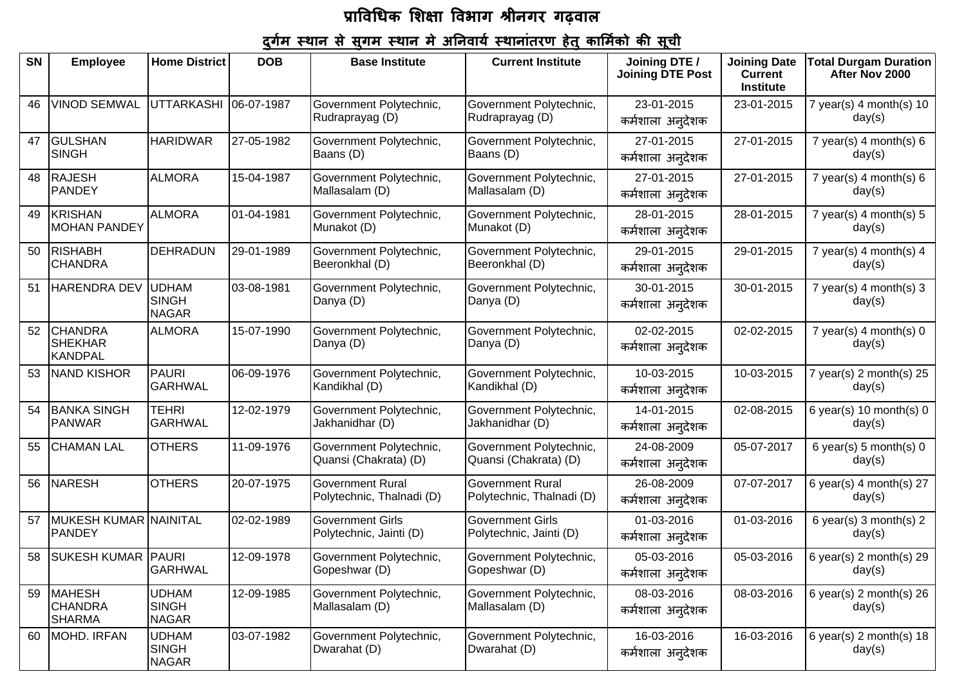| SN | <b>Employee</b>                                    | <b>Home District</b>                         | <b>DOB</b> | <b>Base Institute</b>                                | <b>Current Institute</b>                             | Joining DTE /                          | <b>Joining Date</b>                | <b>Total Durgam Duration</b>                |
|----|----------------------------------------------------|----------------------------------------------|------------|------------------------------------------------------|------------------------------------------------------|----------------------------------------|------------------------------------|---------------------------------------------|
|    |                                                    |                                              |            |                                                      |                                                      | <b>Joining DTE Post</b>                | <b>Current</b><br><b>Institute</b> | After Nov 2000                              |
| 46 | <b>VINOD SEMWAL</b>                                | <b>UTTARKASHI</b>                            | 06-07-1987 | Government Polytechnic,<br>Rudraprayag (D)           | Government Polytechnic,<br>Rudraprayag (D)           | 23-01-2015<br>कर्मशाला अन् <b>देशक</b> | 23-01-2015                         | 7 year(s) 4 month(s) 10<br>day(s)           |
| 47 | <b>GULSHAN</b><br><b>SINGH</b>                     | <b>HARIDWAR</b>                              | 27-05-1982 | Government Polytechnic,<br>Baans (D)                 | Government Polytechnic,<br>Baans (D)                 | 27-01-2015<br>कर्मशाला अनुदेशक         | 27-01-2015                         | 7 year(s) $4$ month(s) $6$<br>day(s)        |
| 48 | <b>RAJESH</b><br>PANDEY                            | <b>ALMORA</b>                                | 15-04-1987 | Government Polytechnic,<br>Mallasalam (D)            | Government Polytechnic,<br>Mallasalam (D)            | 27-01-2015<br>कर्मशाला अनुदेशक         | 27-01-2015                         | 7 year(s) 4 month(s) $6$<br>day(s)          |
| 49 | <b>KRISHAN</b><br><b>MOHAN PANDEY</b>              | <b>ALMORA</b>                                | 01-04-1981 | Government Polytechnic,<br>Munakot (D)               | Government Polytechnic,<br>Munakot (D)               | 28-01-2015<br>कर्मशाला अन् <b>देशक</b> | 28-01-2015                         | 7 year(s) $4$ month(s) $5$<br>day(s)        |
| 50 | <b>RISHABH</b><br><b>CHANDRA</b>                   | <b>DEHRADUN</b>                              | 29-01-1989 | Government Polytechnic,<br>Beeronkhal (D)            | Government Polytechnic,<br>Beeronkhal (D)            | 29-01-2015<br>कर्मशाला अनुदेशक         | 29-01-2015                         | 7 year(s) 4 month(s) 4<br>day(s)            |
| 51 | <b>HARENDRA DEV</b>                                | <b>UDHAM</b><br><b>SINGH</b><br><b>NAGAR</b> | 03-08-1981 | Government Polytechnic,<br>Danya (D)                 | Government Polytechnic,<br>Danya (D)                 | 30-01-2015<br>कर्मशाला अन् <b>देशक</b> | 30-01-2015                         | 7 year(s) $4$ month(s) $3$<br>day(s)        |
| 52 | <b>CHANDRA</b><br><b>SHEKHAR</b><br><b>KANDPAL</b> | <b>ALMORA</b>                                | 15-07-1990 | Government Polytechnic,<br>Danya (D)                 | Government Polytechnic,<br>Danya (D)                 | 02-02-2015<br>कर्मशाला अन् <b>देशक</b> | 02-02-2015                         | 7 year(s) $4$ month(s) $0$<br>day(s)        |
| 53 | <b>NAND KISHOR</b>                                 | PAURI<br>GARHWAL                             | 06-09-1976 | Government Polytechnic,<br>Kandikhal (D)             | Government Polytechnic,<br>Kandikhal (D)             | 10-03-2015<br>कर्मशाला अनुदेशक         | 10-03-2015                         | 7 year(s) $2$ month(s) $25$<br>day(s)       |
| 54 | <b>BANKA SINGH</b><br><b>PANWAR</b>                | <b>TEHRI</b><br>GARHWAL                      | 12-02-1979 | Government Polytechnic,<br>Jakhanidhar (D)           | Government Polytechnic,<br>Jakhanidhar (D)           | 14-01-2015<br>कर्मशाला अनुदेशक         | 02-08-2015                         | 6 year(s) 10 month(s) $0$<br>day(s)         |
| 55 | <b>CHAMAN LAL</b>                                  | <b>OTHERS</b>                                | 11-09-1976 | Government Polytechnic,<br>Quansi (Chakrata) (D)     | Government Polytechnic,<br>Quansi (Chakrata) (D)     | 24-08-2009<br>कर्मशाला अन् <b>देशक</b> | 05-07-2017                         | 6 year(s) 5 month(s) $0$<br>day(s)          |
| 56 | <b>NARESH</b>                                      | <b>OTHERS</b>                                | 20-07-1975 | <b>Government Rural</b><br>Polytechnic, Thalnadi (D) | <b>Government Rural</b><br>Polytechnic, Thalnadi (D) | 26-08-2009<br>कर्मशाला अनुदेशक         | 07-07-2017                         | 6 year(s) 4 month(s) $27$<br>day(s)         |
| 57 | MUKESH KUMAR NAINITAL<br>PANDEY                    |                                              | 02-02-1989 | <b>Government Girls</b><br>Polytechnic, Jainti (D)   | <b>Government Girls</b><br>Polytechnic, Jainti (D)   | 01-03-2016<br>कर्मशाला अनुदेशक         | 01-03-2016                         | 6 year(s) 3 month(s) $2 \pi$<br>day(s)      |
| 58 | <b>SUKESH KUMAR PAURI</b>                          | GARHWAL                                      | 12-09-1978 | Government Polytechnic,<br>Gopeshwar (D)             | Government Polytechnic,<br>Gopeshwar (D)             | 05-03-2016<br>कर्मशाला अन् <b>देशक</b> | 05-03-2016                         | 6 year(s) $2 \text{ month(s)} 29$<br>day(s) |
| 59 | <b>MAHESH</b><br><b>CHANDRA</b><br><b>SHARMA</b>   | <b>UDHAM</b><br><b>SINGH</b><br><b>NAGAR</b> | 12-09-1985 | Government Polytechnic,<br>Mallasalam (D)            | Government Polytechnic,<br>Mallasalam (D)            | 08-03-2016<br>कर्मशाला अन् <b>देशक</b> | 08-03-2016                         | 6 year(s) $2$ month(s) $26$<br>day(s)       |
| 60 | MOHD. IRFAN                                        | <b>UDHAM</b><br><b>SINGH</b><br><b>NAGAR</b> | 03-07-1982 | Government Polytechnic,<br>Dwarahat (D)              | Government Polytechnic,<br>Dwarahat (D)              | 16-03-2016<br>कर्मशाला अन् <b>देशक</b> | 16-03-2016                         | 6 year(s) $2$ month(s) $18$<br>day(s)       |